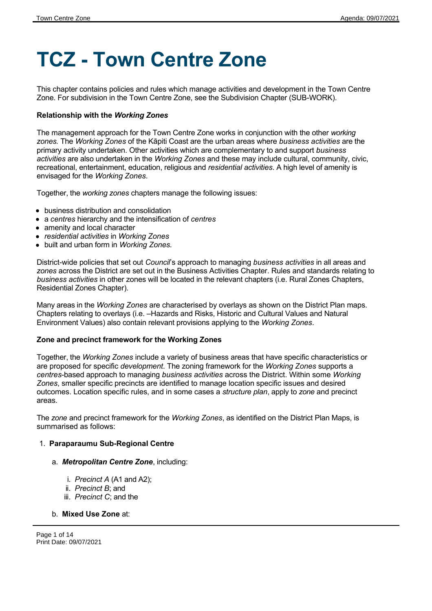# **TCZ - Town Centre Zone**

This chapter contains policies and rules which manage activities and development in the Town Centre Zone. For subdivision in the Town Centre Zone, see the Subdivision Chapter (SUB-WORK).

#### **Relationship with the** *Working Zones*

The management approach for the Town Centre Zone works in conjunction with the other *working zones.* The *Working Zones* of the Kāpiti Coast are the urban areas where *business activities* are the primary activity undertaken. Other activities which are complementary to and support *business activities* are also undertaken in the *Working Zones* and these may include cultural, community, civic, recreational, entertainment, education, religious and *residential activities*. A high level of amenity is envisaged for the *Working Zones*.

Together, the *working zones* chapters manage the following issues:

- business distribution and consolidation
- a *centres* hierarchy and the intensification of *centres*
- amenity and local character
- *residential activities* in *Working Zones*
- built and urban form in *Working Zones.*

District-wide policies that set out *Council*'s approach to managing *business activities* in all areas and *zones* across the District are set out in the Business Activities Chapter. Rules and standards relating to *business activities* in other zones will be located in the relevant chapters (i.e. Rural Zones Chapters, Residential Zones Chapter).

Many areas in the *Working Zones* are characterised by overlays as shown on the District Plan maps. Chapters relating to overlays (i.e. –Hazards and Risks, Historic and Cultural Values and Natural Environment Values) also contain relevant provisions applying to the *Working Zones*.

#### **Zone and precinct framework for the Working Zones**

Together, the *Working Zones* include a variety of business areas that have specific characteristics or are proposed for specific *development*. The zoning framework for the *Working Zones* supports a *centres*-based approach to managing *business activities* across the District. Within some *Working Zones*, smaller specific precincts are identified to manage location specific issues and desired outcomes. Location specific rules, and in some cases a *structure plan*, apply to *zone* and precinct areas.

The *zone* and precinct framework for the *Working Zones*, as identified on the District Plan Maps, is summarised as follows:

#### 1. **Paraparaumu Sub-Regional Centre**

#### a. *Metropolitan Centre Zone*, including:

- i. *Precinct A* (A1 and A2);
- ii. *Precinct B*; and
- iii. *Precinct C*; and the

#### b. **Mixed Use Zone** at:

Page 1 of 14 Print Date: 09/07/2021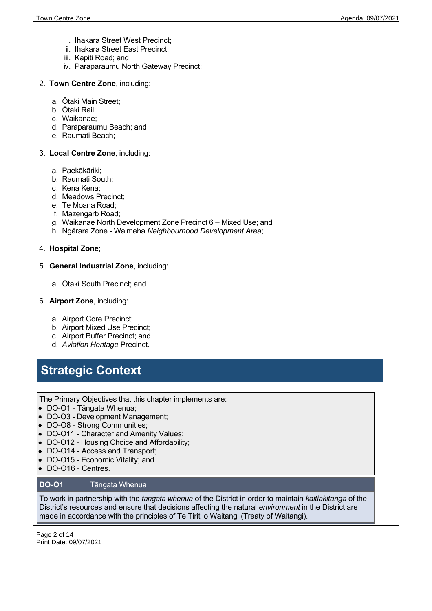- i. Ihakara Street West Precinct;
- ii. Ihakara Street East Precinct;
- iii. Kapiti Road; and
- iv. Paraparaumu North Gateway Precinct;
- 2. **Town Centre Zone**, including:
	- a. Ōtaki Main Street;
	- b. Ōtaki Rail;
	- c. Waikanae;
	- d. Paraparaumu Beach; and
	- e. Raumati Beach;

#### 3. **Local Centre Zone**, including:

- a. Paekākāriki;
- b. Raumati South;
- c. Kena Kena;
- d. Meadows Precinct;
- e. Te Moana Road;
- f. Mazengarb Road;
- g. Waikanae North Development Zone Precinct 6 Mixed Use; and
- h. Ngārara Zone Waimeha *Neighbourhood Development Area*;

#### 4. **Hospital Zone**;

#### 5. **General Industrial Zone**, including:

a. Ōtaki South Precinct; and

#### 6. **Airport Zone**, including:

- a. Airport Core Precinct;
- b. Airport Mixed Use Precinct;
- c. Airport Buffer Precinct; and
- d. *Aviation Heritage* Precinct.

# **Strategic Context**

The Primary Objectives that this chapter implements are:

- DO-O1 Tāngata Whenua;
- DO-O3 Development Management;
- DO-O8 Strong Communities:
- DO-O11 Character and Amenity Values;
- DO-O12 Housing Choice and Affordability;
- DO-O14 Access and Transport;
- DO-O15 Economic Vitality; and **e**
- DO-O16 Centres.  $\bullet$

#### **DO-O1** Tāngata Whenua

To work in partnership with the *tangata whenua* of the District in order to maintain *kaitiakitanga* of the District's resources and ensure that decisions affecting the natural *environment* in the District are made in accordance with the principles of Te Tiriti o Waitangi (Treaty of Waitangi).

Page 2 of 14 Print Date: 09/07/2021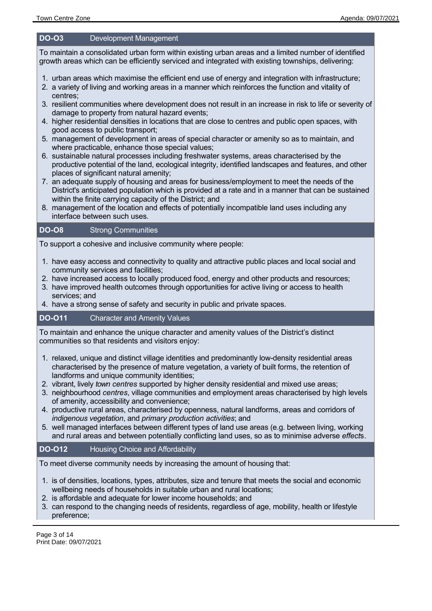#### **DO-O3** Development Management

To maintain a consolidated urban form within existing urban areas and a limited number of identified growth areas which can be efficiently serviced and integrated with existing townships, delivering:

- 1. urban areas which maximise the efficient end use of energy and integration with infrastructure;
- 2. a variety of living and working areas in a manner which reinforces the function and vitality of centres;
- 3. resilient communities where development does not result in an increase in risk to life or severity of damage to property from natural hazard events;
- 4. higher residential densities in locations that are close to centres and public open spaces, with good access to public transport;
- 5. management of development in areas of special character or amenity so as to maintain, and where practicable, enhance those special values;
- 6. sustainable natural processes including freshwater systems, areas characterised by the productive potential of the land, ecological integrity, identified landscapes and features, and other places of significant natural amenity;
- 7. an adequate supply of housing and areas for business/employment to meet the needs of the District's anticipated population which is provided at a rate and in a manner that can be sustained within the finite carrying capacity of the District; and
- 8. management of the location and effects of potentially incompatible land uses including any interface between such uses.

#### **DO-O8** Strong Communities

To support a cohesive and inclusive community where people:

- 1. have easy access and connectivity to quality and attractive public places and local social and community services and facilities;
- 2. have increased access to locally produced food, energy and other products and resources;
- 3. have improved health outcomes through opportunities for active living or access to health services; and
- 4. have a strong sense of safety and security in public and private spaces.

#### **DO-O11** Character and Amenity Values

To maintain and enhance the unique character and amenity values of the District's distinct communities so that residents and visitors enjoy:

- 1. relaxed, unique and distinct village identities and predominantly low-density residential areas characterised by the presence of mature vegetation, a variety of built forms, the retention of landforms and unique community identities;
- 2. vibrant, lively *town centres* supported by higher density residential and mixed use areas;
- 3. neighbourhood *centres*, village communities and employment areas characterised by high levels of amenity, accessibility and convenience;
- 4. productive rural areas, characterised by openness, natural landforms, areas and corridors of *indigenous vegetation*, and *primary production activities*; and
- 5. well managed interfaces between different types of land use areas (e.g. between living, working and rural areas and between potentially conflicting land uses, so as to minimise adverse *effect*s.

#### **DO-O12** Housing Choice and Affordability

To meet diverse community needs by increasing the amount of housing that:

- 1. is of densities, locations, types, attributes, size and tenure that meets the social and economic wellbeing needs of households in suitable urban and rural locations;
- 2. is affordable and adequate for lower income households; and
- 3. can respond to the changing needs of residents, regardless of age, mobility, health or lifestyle preference;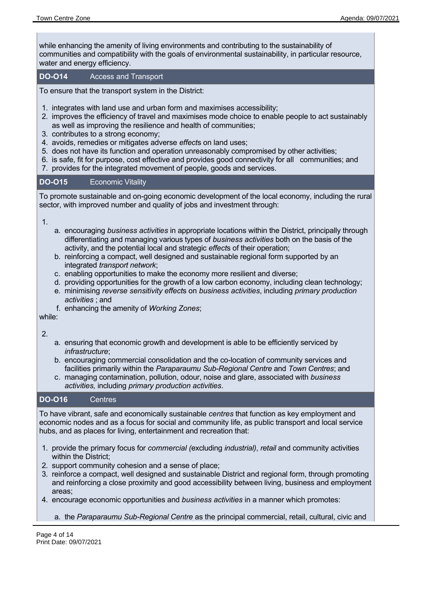while enhancing the amenity of living environments and contributing to the sustainability of communities and compatibility with the goals of environmental sustainability, in particular resource, water and energy efficiency.

#### **DO-O14** Access and Transport

To ensure that the transport system in the District:

- 1. integrates with land use and urban form and maximises accessibility;
- 2. improves the efficiency of travel and maximises mode choice to enable people to act sustainably as well as improving the resilience and health of communities;
- 3. contributes to a strong economy;
- 4. avoids, remedies or mitigates adverse *effect*s on land uses;
- 5. does not have its function and operation unreasonably compromised by other activities;
- 6. is safe, fit for purpose, cost effective and provides good connectivity for all communities; and
- 7. provides for the integrated movement of people, goods and services.

#### **DO-O15** Economic Vitality

To promote sustainable and on-going economic development of the local economy, including the rural sector, with improved number and quality of jobs and investment through:

1.

- a. encouraging *business activities* in appropriate locations within the District, principally through differentiating and managing various types of *business activities* both on the basis of the activity, and the potential local and strategic *effect*s of their operation;
- b. reinforcing a compact, well designed and sustainable regional form supported by an integrated *transport network*;
- c. enabling opportunities to make the economy more resilient and diverse;
- d. providing opportunities for the growth of a low carbon economy, including clean technology;
- e. minimising *reverse sensitivity effect*s on *business activities*, including *primary production activities* ; and
- f. enhancing the amenity of *Working Zones*;

while:

2.

- a. ensuring that economic growth and development is able to be efficiently serviced by *infrastructure*;
- b. encouraging commercial consolidation and the co-location of community services and facilities primarily within the *Paraparaumu Sub-Regional Centre* and *Town Centres*; and
- c. managing contamination, pollution, odour, noise and glare, associated with *business activities,* including *primary production activities*.

#### **DO-O16** Centres

To have vibrant, safe and economically sustainable *centres* that function as key employment and economic nodes and as a focus for social and community life, as public transport and local service hubs, and as places for living, entertainment and recreation that:

- 1. provide the primary focus for *commercial (*excluding *industrial)*, *retail* and community activities within the District;
- 2. support community cohesion and a sense of place;
- 3. reinforce a compact, well designed and sustainable District and regional form, through promoting and reinforcing a close proximity and good accessibility between living, business and employment areas;
- 4. encourage economic opportunities and *business activities* in a manner which promotes:
	- a. the *Paraparaumu Sub-Regional Centre* as the principal commercial, retail, cultural, civic and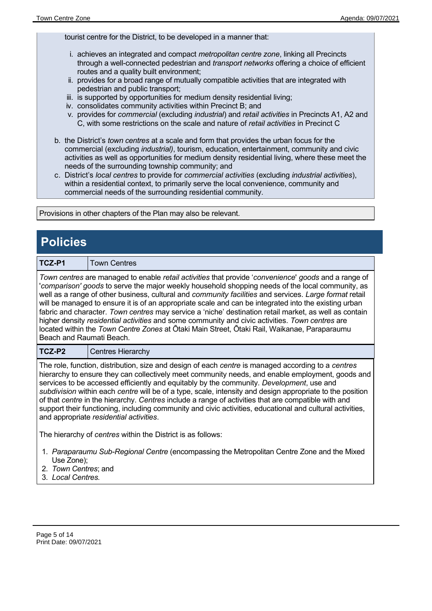tourist centre for the District, to be developed in a manner that:

- i. achieves an integrated and compact *metropolitan centre zone*, linking all Precincts through a well-connected pedestrian and *transport networks* offering a choice of efficient routes and a quality built environment;
- ii. provides for a broad range of mutually compatible activities that are integrated with pedestrian and public transport;
- iii. is supported by opportunities for medium density residential living;
- iv. consolidates community activities within Precinct B; and
- v. provides for *commercial* (excluding *industrial*) and *retail activities* in Precincts A1, A2 and C, with some restrictions on the scale and nature of *retail activities* in Precinct C
- b. the District's *town centres* at a scale and form that provides the urban focus for the commercial (excluding *industrial)*, tourism, education, entertainment, community and civic activities as well as opportunities for medium density residential living, where these meet the needs of the surrounding township community; and
- c. District's *local centres* to provide for *commercial activities* (excluding *industrial activities*), within a residential context, to primarily serve the local convenience, community and commercial needs of the surrounding residential community.

Provisions in other chapters of the Plan may also be relevant.

## **Policies TCZ-P1** Town Centres *Town centres* are managed to enable *retail activities* that provide '*convenience*' *goods* and a range of '*comparison' goods* to serve the major weekly household shopping needs of the local community, as well as a range of other business, cultural and *community facilities* and services. *Large format* retail will be managed to ensure it is of an appropriate scale and can be integrated into the existing urban fabric and character. *Town centres* may service a 'niche' destination retail market, as well as contain higher density *residential activities* and some community and civic activities. *Town centres* are located within the *Town Centre Zones* at Ōtaki Main Street, Ōtaki Rail, Waikanae, Paraparaumu Beach and Raumati Beach. **TCZ-P2** | Centres Hierarchy The role, function, distribution, size and design of each *centre* is managed according to a *centres* hierarchy to ensure they can collectively meet community needs, and enable employment, goods and services to be accessed efficiently and equitably by the community. *Development*, use and *subdivision* within each *centre* will be of a type, scale, intensity and design appropriate to the position of that *centre* in the hierarchy. *Centres* include a range of activities that are compatible with and support their functioning, including community and civic activities, educational and cultural activities, and appropriate *residential activities*. The hierarchy of *centres* within the District is as follows: 1. *Paraparaumu Sub-Regional Centre* (encompassing the Metropolitan Centre Zone and the Mixed Use Zone);

- 2. *Town Centres*; and
- 3. *Local Centres.*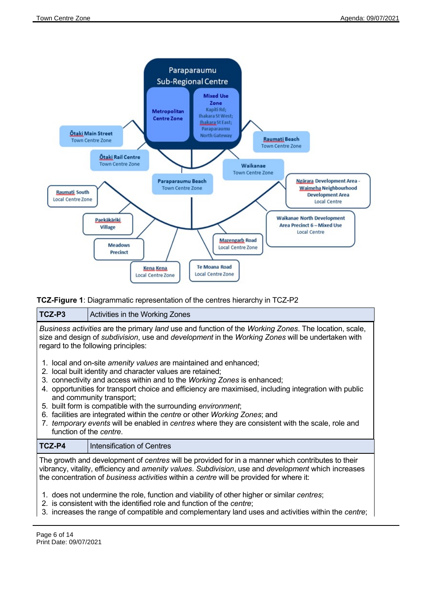

#### **TCZ-Figure 1**: Diagrammatic representation of the centres hierarchy in TCZ-P2



- 1. does not undermine the role, function and viability of other higher or similar *centres*;
- 2. is consistent with the identified role and function of the *centre*;
- 3. increases the range of compatible and complementary land uses and activities within the *centre*;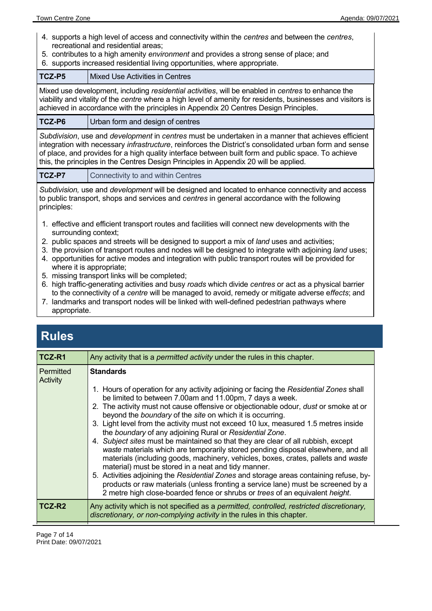- 4. supports a high level of access and connectivity within the *centres* and between the *centres*, recreational and residential areas;
- 5. contributes to a high amenity *environment* and provides a strong sense of place; and
- 6. supports increased residential living opportunities, where appropriate.

| TCZ-P5 | Mixed Use Activities in Centres                                                                                                                                                                                                                                                                            |
|--------|------------------------------------------------------------------------------------------------------------------------------------------------------------------------------------------------------------------------------------------------------------------------------------------------------------|
|        | Mixed use development, including residential activities, will be enabled in centres to enhance the<br>viability and vitality of the centre where a high level of amenity for residents, businesses and visitors is<br>achieved in accordance with the principles in Appendix 20 Centres Design Principles. |
|        |                                                                                                                                                                                                                                                                                                            |

### **TCZ-P6** Urban form and design of centres

*Subdivision*, use and *development* in *centres* must be undertaken in a manner that achieves efficient integration with necessary *infrastructure*, reinforces the District's consolidated urban form and sense of place, and provides for a high quality interface between built form and public space. To achieve this, the principles in the Centres Design Principles in Appendix 20 will be applied.

| TCZ-P7<br>Connectivity to and within Centres |  |
|----------------------------------------------|--|
|----------------------------------------------|--|

*Subdivision,* use and *development* will be designed and located to enhance connectivity and access to public transport, shops and services and *centres* in general accordance with the following principles:

- 1. effective and efficient transport routes and facilities will connect new developments with the surrounding context;
- 2. public spaces and streets will be designed to support a mix of *land* uses and activities;
- 3. the provision of transport routes and nodes will be designed to integrate with adjoining *land* uses;
- 4. opportunities for active modes and integration with public transport routes will be provided for where it is appropriate;
- 5. missing transport links will be completed;
- 6. high traffic-generating activities and busy *roads* which divide *centres* or act as a physical barrier to the connectivity of a *centre* will be managed to avoid, remedy or mitigate adverse e*ffects*; and
- 7. landmarks and transport nodes will be linked with well-defined pedestrian pathways where appropriate.

## **Rules**

| TCZ-R1                | Any activity that is a <i>permitted activity</i> under the rules in this chapter.                                                                                                                                                                                                                                                                                                                                                                                                                                                                                                                                                                                                                                                                                                                                                                                                                                                                                                                                                                                        |
|-----------------------|--------------------------------------------------------------------------------------------------------------------------------------------------------------------------------------------------------------------------------------------------------------------------------------------------------------------------------------------------------------------------------------------------------------------------------------------------------------------------------------------------------------------------------------------------------------------------------------------------------------------------------------------------------------------------------------------------------------------------------------------------------------------------------------------------------------------------------------------------------------------------------------------------------------------------------------------------------------------------------------------------------------------------------------------------------------------------|
| Permitted<br>Activity | <b>Standards</b><br>1. Hours of operation for any activity adjoining or facing the Residential Zones shall<br>be limited to between 7.00am and 11.00pm, 7 days a week.<br>2. The activity must not cause offensive or objectionable odour, <i>dust</i> or smoke at or<br>beyond the boundary of the site on which it is occurring.<br>3. Light level from the activity must not exceed 10 lux, measured 1.5 metres inside<br>the boundary of any adjoining Rural or Residential Zone.<br>4. Subject sites must be maintained so that they are clear of all rubbish, except<br>waste materials which are temporarily stored pending disposal elsewhere, and all<br>materials (including goods, machinery, vehicles, boxes, crates, pallets and waste<br>material) must be stored in a neat and tidy manner.<br>5. Activities adjoining the Residential Zones and storage areas containing refuse, by-<br>products or raw materials (unless fronting a service lane) must be screened by a<br>2 metre high close-boarded fence or shrubs or trees of an equivalent height. |
| TCZ-R2                | Any activity which is not specified as a permitted, controlled, restricted discretionary,<br>discretionary, or non-complying activity in the rules in this chapter.                                                                                                                                                                                                                                                                                                                                                                                                                                                                                                                                                                                                                                                                                                                                                                                                                                                                                                      |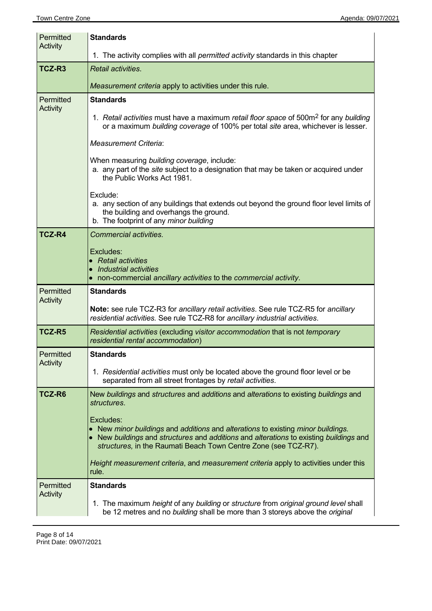| Permitted<br>Activity | <b>Standards</b>                                                                                                                                                                         |  |  |  |
|-----------------------|------------------------------------------------------------------------------------------------------------------------------------------------------------------------------------------|--|--|--|
|                       | 1. The activity complies with all <i>permitted activity</i> standards in this chapter                                                                                                    |  |  |  |
| TCZ-R3                | Retail activities.                                                                                                                                                                       |  |  |  |
|                       | Measurement criteria apply to activities under this rule.                                                                                                                                |  |  |  |
| Permitted<br>Activity | <b>Standards</b>                                                                                                                                                                         |  |  |  |
|                       | 1. Retail activities must have a maximum retail floor space of 500m <sup>2</sup> for any building<br>or a maximum building coverage of 100% per total site area, whichever is lesser.    |  |  |  |
|                       | <b>Measurement Criteria:</b>                                                                                                                                                             |  |  |  |
|                       | When measuring building coverage, include:<br>a. any part of the site subject to a designation that may be taken or acquired under<br>the Public Works Act 1981.                         |  |  |  |
|                       | Exclude:<br>a. any section of any buildings that extends out beyond the ground floor level limits of<br>the building and overhangs the ground.<br>b. The footprint of any minor building |  |  |  |
| <b>TCZ-R4</b>         | <b>Commercial activities.</b>                                                                                                                                                            |  |  |  |
|                       | Excludes:                                                                                                                                                                                |  |  |  |
|                       | • Retail activities<br>• Industrial activities                                                                                                                                           |  |  |  |
| Permitted             | • non-commercial ancillary activities to the commercial activity.<br><b>Standards</b>                                                                                                    |  |  |  |
| Activity              |                                                                                                                                                                                          |  |  |  |
|                       | Note: see rule TCZ-R3 for ancillary retail activities. See rule TCZ-R5 for ancillary<br>residential activities. See rule TCZ-R8 for ancillary industrial activities.                     |  |  |  |
| TCZ-R5                | Residential activities (excluding visitor accommodation that is not temporary<br>residential rental accommodation)                                                                       |  |  |  |
| Permitted<br>Activity | <b>Standards</b>                                                                                                                                                                         |  |  |  |
|                       | 1. Residential activities must only be located above the ground floor level or be<br>separated from all street frontages by retail activities.                                           |  |  |  |
| TCZ-R6                | New buildings and structures and additions and alterations to existing buildings and<br>structures.                                                                                      |  |  |  |
|                       | Excludes:<br>• New minor buildings and additions and alterations to existing minor buildings.                                                                                            |  |  |  |
|                       | • New buildings and structures and additions and alterations to existing buildings and<br>structures, in the Raumati Beach Town Centre Zone (see TCZ-R7).                                |  |  |  |
|                       | Height measurement criteria, and measurement criteria apply to activities under this<br>rule.                                                                                            |  |  |  |
| Permitted<br>Activity | <b>Standards</b>                                                                                                                                                                         |  |  |  |
|                       | 1. The maximum height of any building or structure from original ground level shall<br>be 12 metres and no building shall be more than 3 storeys above the original                      |  |  |  |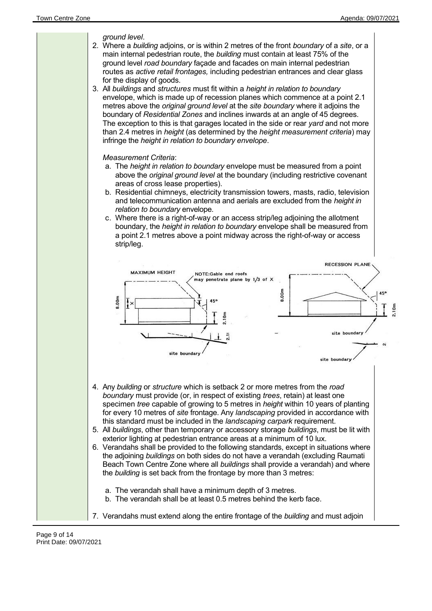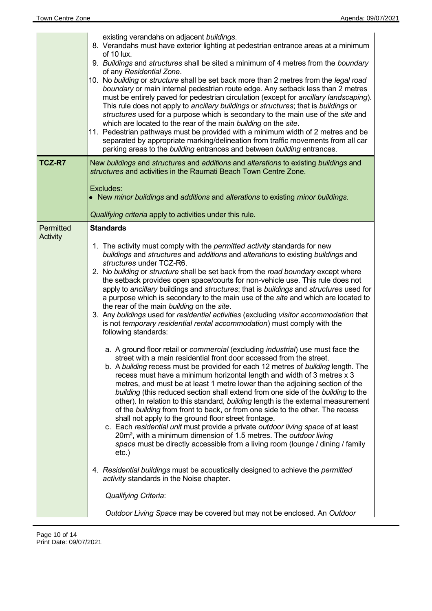|                       | existing verandahs on adjacent buildings.<br>8. Verandahs must have exterior lighting at pedestrian entrance areas at a minimum<br>of 10 lux.<br>9. Buildings and structures shall be sited a minimum of 4 metres from the boundary<br>of any Residential Zone.<br>10. No building or structure shall be set back more than 2 metres from the legal road<br>boundary or main internal pedestrian route edge. Any setback less than 2 metres<br>must be entirely paved for pedestrian circulation (except for ancillary landscaping).<br>This rule does not apply to ancillary buildings or structures; that is buildings or<br>structures used for a purpose which is secondary to the main use of the site and<br>which are located to the rear of the main building on the site.<br>11. Pedestrian pathways must be provided with a minimum width of 2 metres and be<br>separated by appropriate marking/delineation from traffic movements from all car<br>parking areas to the building entrances and between building entrances.                                                                                                                                                                                                                                                                                                                                                                                                                                                                                                                                                                                                                                                                                                                                                                                                                                                                                                                                                                                                                       |
|-----------------------|-------------------------------------------------------------------------------------------------------------------------------------------------------------------------------------------------------------------------------------------------------------------------------------------------------------------------------------------------------------------------------------------------------------------------------------------------------------------------------------------------------------------------------------------------------------------------------------------------------------------------------------------------------------------------------------------------------------------------------------------------------------------------------------------------------------------------------------------------------------------------------------------------------------------------------------------------------------------------------------------------------------------------------------------------------------------------------------------------------------------------------------------------------------------------------------------------------------------------------------------------------------------------------------------------------------------------------------------------------------------------------------------------------------------------------------------------------------------------------------------------------------------------------------------------------------------------------------------------------------------------------------------------------------------------------------------------------------------------------------------------------------------------------------------------------------------------------------------------------------------------------------------------------------------------------------------------------------------------------------------------------------------------------------------------------------|
| TCZ-R7                | New buildings and structures and additions and alterations to existing buildings and<br>structures and activities in the Raumati Beach Town Centre Zone.<br>Excludes:<br>• New minor buildings and additions and alterations to existing minor buildings.<br>Qualifying criteria apply to activities under this rule.                                                                                                                                                                                                                                                                                                                                                                                                                                                                                                                                                                                                                                                                                                                                                                                                                                                                                                                                                                                                                                                                                                                                                                                                                                                                                                                                                                                                                                                                                                                                                                                                                                                                                                                                       |
| Permitted<br>Activity | <b>Standards</b><br>1. The activity must comply with the <i>permitted activity</i> standards for new<br>buildings and structures and additions and alterations to existing buildings and<br>structures under TCZ-R6.<br>2. No building or structure shall be set back from the road boundary except where<br>the setback provides open space/courts for non-vehicle use. This rule does not<br>apply to ancillary buildings and structures; that is buildings and structures used for<br>a purpose which is secondary to the main use of the site and which are located to<br>the rear of the main building on the site.<br>3. Any buildings used for residential activities (excluding visitor accommodation that<br>is not temporary residential rental accommodation) must comply with the<br>following standards:<br>a. A ground floor retail or commercial (excluding industrial) use must face the<br>street with a main residential front door accessed from the street.<br>b. A building recess must be provided for each 12 metres of building length. The<br>recess must have a minimum horizontal length and width of 3 metres x 3<br>metres, and must be at least 1 metre lower than the adjoining section of the<br>building (this reduced section shall extend from one side of the building to the<br>other). In relation to this standard, building length is the external measurement<br>of the building from front to back, or from one side to the other. The recess<br>shall not apply to the ground floor street frontage.<br>c. Each residential unit must provide a private outdoor living space of at least<br>20m <sup>2</sup> , with a minimum dimension of 1.5 metres. The outdoor living<br>space must be directly accessible from a living room (lounge / dining / family<br>$etc.$ )<br>4. Residential buildings must be acoustically designed to achieve the permitted<br>activity standards in the Noise chapter.<br><b>Qualifying Criteria:</b><br>Outdoor Living Space may be covered but may not be enclosed. An Outdoor |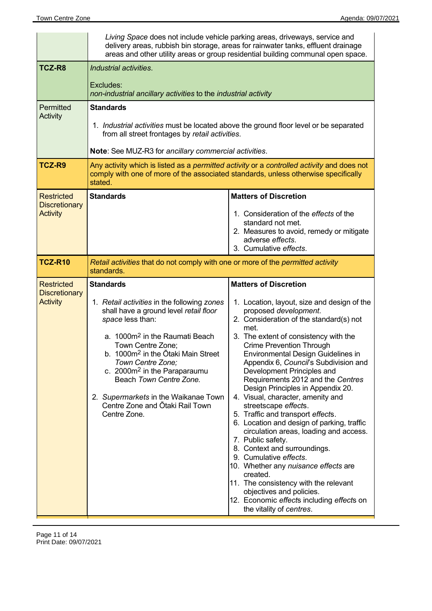|                                                              | Living Space does not include vehicle parking areas, driveways, service and<br>delivery areas, rubbish bin storage, areas for rainwater tanks, effluent drainage<br>areas and other utility areas or group residential building communal open space.                                                                                                                                                                                      |                                                                                                                                                                                                                                                                                                                                                                                                                                                                                                                                                                                                                                                                                                                                                                                                                                                                                                      |  |  |
|--------------------------------------------------------------|-------------------------------------------------------------------------------------------------------------------------------------------------------------------------------------------------------------------------------------------------------------------------------------------------------------------------------------------------------------------------------------------------------------------------------------------|------------------------------------------------------------------------------------------------------------------------------------------------------------------------------------------------------------------------------------------------------------------------------------------------------------------------------------------------------------------------------------------------------------------------------------------------------------------------------------------------------------------------------------------------------------------------------------------------------------------------------------------------------------------------------------------------------------------------------------------------------------------------------------------------------------------------------------------------------------------------------------------------------|--|--|
| TCZ-R8                                                       | Industrial activities.<br>Excludes:<br>non-industrial ancillary activities to the industrial activity                                                                                                                                                                                                                                                                                                                                     |                                                                                                                                                                                                                                                                                                                                                                                                                                                                                                                                                                                                                                                                                                                                                                                                                                                                                                      |  |  |
| Permitted<br><b>Activity</b><br>TCZ-R9                       | <b>Standards</b><br>1. Industrial activities must be located above the ground floor level or be separated<br>from all street frontages by retail activities.<br>Note: See MUZ-R3 for ancillary commercial activities.<br>Any activity which is listed as a permitted activity or a controlled activity and does not<br>comply with one of more of the associated standards, unless otherwise specifically<br>stated.                      |                                                                                                                                                                                                                                                                                                                                                                                                                                                                                                                                                                                                                                                                                                                                                                                                                                                                                                      |  |  |
| <b>Restricted</b><br><b>Discretionary</b><br><b>Activity</b> | <b>Standards</b>                                                                                                                                                                                                                                                                                                                                                                                                                          | <b>Matters of Discretion</b><br>1. Consideration of the effects of the<br>standard not met.<br>2. Measures to avoid, remedy or mitigate<br>adverse effects.<br>3. Cumulative effects.                                                                                                                                                                                                                                                                                                                                                                                                                                                                                                                                                                                                                                                                                                                |  |  |
| <b>TCZ-R10</b>                                               | Retail activities that do not comply with one or more of the permitted activity<br>standards.                                                                                                                                                                                                                                                                                                                                             |                                                                                                                                                                                                                                                                                                                                                                                                                                                                                                                                                                                                                                                                                                                                                                                                                                                                                                      |  |  |
| <b>Restricted</b><br><b>Discretionary</b><br><b>Activity</b> | <b>Standards</b><br>1. Retail activities in the following zones<br>shall have a ground level retail floor<br>space less than:<br>a. 1000m <sup>2</sup> in the Raumati Beach<br>Town Centre Zone;<br>b. 1000m <sup>2</sup> in the Otaki Main Street<br>Town Centre Zone;<br>c. 2000m <sup>2</sup> in the Paraparaumu<br>Beach Town Centre Zone.<br>2. Supermarkets in the Waikanae Town<br>Centre Zone and Ōtaki Rail Town<br>Centre Zone. | <b>Matters of Discretion</b><br>1. Location, layout, size and design of the<br>proposed development.<br>2. Consideration of the standard(s) not<br>met<br>3. The extent of consistency with the<br><b>Crime Prevention Through</b><br>Environmental Design Guidelines in<br>Appendix 6, Council's Subdivision and<br>Development Principles and<br>Requirements 2012 and the Centres<br>Design Principles in Appendix 20.<br>4. Visual, character, amenity and<br>streetscape effects.<br>5. Traffic and transport effects.<br>6. Location and design of parking, traffic<br>circulation areas, loading and access.<br>7. Public safety.<br>8. Context and surroundings.<br>9. Cumulative effects.<br>10. Whether any nuisance effects are<br>created.<br>11. The consistency with the relevant<br>objectives and policies.<br>12. Economic effects including effects on<br>the vitality of centres. |  |  |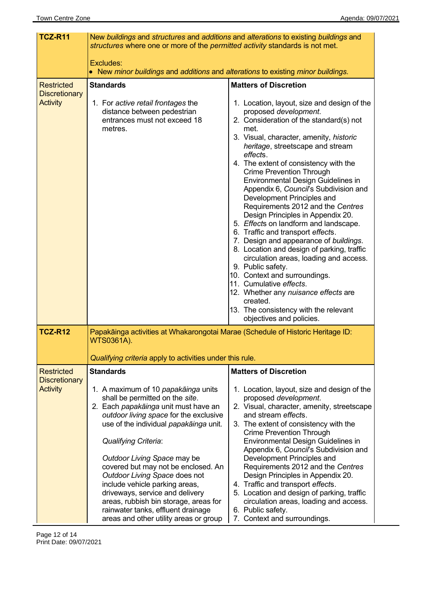| TCZ-R11                                   | New buildings and structures and additions and alterations to existing buildings and<br>structures where one or more of the permitted activity standards is not met.                                                                                                                                                                                                                                                                                                                                                                   |                                                                                                                                                                                                                                                                                                                                                                                                                                                                                                                                                                                                                                                                                                                                                                                                                                                                                                                 |  |  |
|-------------------------------------------|----------------------------------------------------------------------------------------------------------------------------------------------------------------------------------------------------------------------------------------------------------------------------------------------------------------------------------------------------------------------------------------------------------------------------------------------------------------------------------------------------------------------------------------|-----------------------------------------------------------------------------------------------------------------------------------------------------------------------------------------------------------------------------------------------------------------------------------------------------------------------------------------------------------------------------------------------------------------------------------------------------------------------------------------------------------------------------------------------------------------------------------------------------------------------------------------------------------------------------------------------------------------------------------------------------------------------------------------------------------------------------------------------------------------------------------------------------------------|--|--|
|                                           | Excludes:<br>• New minor buildings and additions and alterations to existing minor buildings.                                                                                                                                                                                                                                                                                                                                                                                                                                          |                                                                                                                                                                                                                                                                                                                                                                                                                                                                                                                                                                                                                                                                                                                                                                                                                                                                                                                 |  |  |
| <b>Restricted</b><br><b>Discretionary</b> | <b>Standards</b>                                                                                                                                                                                                                                                                                                                                                                                                                                                                                                                       | <b>Matters of Discretion</b>                                                                                                                                                                                                                                                                                                                                                                                                                                                                                                                                                                                                                                                                                                                                                                                                                                                                                    |  |  |
| <b>Activity</b>                           | 1. For active retail frontages the<br>distance between pedestrian<br>entrances must not exceed 18<br>metres.                                                                                                                                                                                                                                                                                                                                                                                                                           | 1. Location, layout, size and design of the<br>proposed development.<br>2. Consideration of the standard(s) not<br>met.<br>3. Visual, character, amenity, historic<br>heritage, streetscape and stream<br>effects.<br>4. The extent of consistency with the<br><b>Crime Prevention Through</b><br>Environmental Design Guidelines in<br>Appendix 6, Council's Subdivision and<br>Development Principles and<br>Requirements 2012 and the Centres<br>Design Principles in Appendix 20.<br>5. Effects on landform and landscape.<br>6. Traffic and transport effects.<br>7. Design and appearance of buildings.<br>8. Location and design of parking, traffic<br>circulation areas, loading and access.<br>9. Public safety.<br>10. Context and surroundings.<br>11. Cumulative effects.<br>12. Whether any nuisance effects are<br>created.<br>13. The consistency with the relevant<br>objectives and policies. |  |  |
| <b>TCZ-R12</b>                            | Papakāinga activities at Whakarongotai Marae (Schedule of Historic Heritage ID:<br><b>WTS0361A).</b>                                                                                                                                                                                                                                                                                                                                                                                                                                   |                                                                                                                                                                                                                                                                                                                                                                                                                                                                                                                                                                                                                                                                                                                                                                                                                                                                                                                 |  |  |
|                                           | Qualifying criteria apply to activities under this rule.                                                                                                                                                                                                                                                                                                                                                                                                                                                                               |                                                                                                                                                                                                                                                                                                                                                                                                                                                                                                                                                                                                                                                                                                                                                                                                                                                                                                                 |  |  |
| <b>Restricted</b><br><b>Discretionary</b> | <b>Standards</b>                                                                                                                                                                                                                                                                                                                                                                                                                                                                                                                       | <b>Matters of Discretion</b>                                                                                                                                                                                                                                                                                                                                                                                                                                                                                                                                                                                                                                                                                                                                                                                                                                                                                    |  |  |
| <b>Activity</b>                           | 1. A maximum of 10 papakainga units<br>shall be permitted on the site.<br>2. Each papakāinga unit must have an<br>outdoor living space for the exclusive<br>use of the individual papakainga unit.<br><b>Qualifying Criteria:</b><br>Outdoor Living Space may be<br>covered but may not be enclosed. An<br>Outdoor Living Space does not<br>include vehicle parking areas,<br>driveways, service and delivery<br>areas, rubbish bin storage, areas for<br>rainwater tanks, effluent drainage<br>areas and other utility areas or group | 1. Location, layout, size and design of the<br>proposed development.<br>2. Visual, character, amenity, streetscape<br>and stream effects.<br>3. The extent of consistency with the<br><b>Crime Prevention Through</b><br>Environmental Design Guidelines in<br>Appendix 6, Council's Subdivision and<br>Development Principles and<br>Requirements 2012 and the Centres<br>Design Principles in Appendix 20.<br>4. Traffic and transport effects.<br>5. Location and design of parking, traffic<br>circulation areas, loading and access.<br>6. Public safety.<br>7. Context and surroundings.                                                                                                                                                                                                                                                                                                                  |  |  |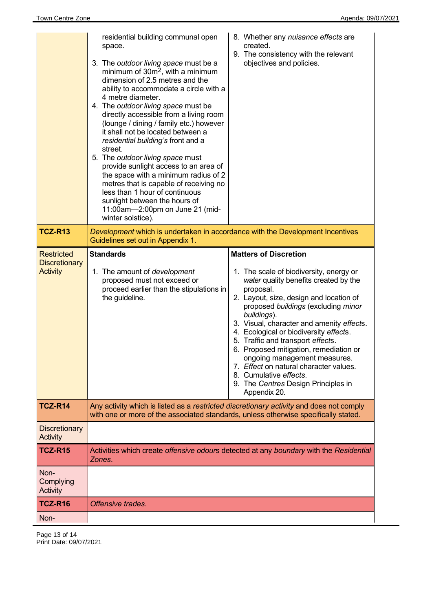|                                                              | residential building communal open<br>space.<br>3. The outdoor living space must be a<br>minimum of $30m^2$ , with a minimum<br>dimension of 2.5 metres and the<br>ability to accommodate a circle with a<br>4 metre diameter.<br>4. The outdoor living space must be<br>directly accessible from a living room<br>(lounge / dining / family etc.) however<br>it shall not be located between a<br>residential building's front and a<br>street.<br>5. The outdoor living space must<br>provide sunlight access to an area of<br>the space with a minimum radius of 2<br>metres that is capable of receiving no<br>less than 1 hour of continuous<br>sunlight between the hours of<br>11:00am-2:00pm on June 21 (mid-<br>winter solstice). | 8. Whether any nuisance effects are<br>created.<br>9. The consistency with the relevant<br>objectives and policies.                                                                                                                                                                                                                                                                                                                                                                                                                                             |  |
|--------------------------------------------------------------|--------------------------------------------------------------------------------------------------------------------------------------------------------------------------------------------------------------------------------------------------------------------------------------------------------------------------------------------------------------------------------------------------------------------------------------------------------------------------------------------------------------------------------------------------------------------------------------------------------------------------------------------------------------------------------------------------------------------------------------------|-----------------------------------------------------------------------------------------------------------------------------------------------------------------------------------------------------------------------------------------------------------------------------------------------------------------------------------------------------------------------------------------------------------------------------------------------------------------------------------------------------------------------------------------------------------------|--|
| <b>TCZ-R13</b>                                               | Development which is undertaken in accordance with the Development Incentives<br>Guidelines set out in Appendix 1.                                                                                                                                                                                                                                                                                                                                                                                                                                                                                                                                                                                                                         |                                                                                                                                                                                                                                                                                                                                                                                                                                                                                                                                                                 |  |
| <b>Restricted</b><br><b>Discretionary</b><br><b>Activity</b> | <b>Standards</b><br>1. The amount of development<br>proposed must not exceed or<br>proceed earlier than the stipulations in<br>the guideline.                                                                                                                                                                                                                                                                                                                                                                                                                                                                                                                                                                                              | <b>Matters of Discretion</b><br>1. The scale of biodiversity, energy or<br>water quality benefits created by the<br>proposal.<br>2. Layout, size, design and location of<br>proposed buildings (excluding minor<br>buildings).<br>3. Visual, character and amenity effects.<br>4. Ecological or biodiversity effects.<br>5. Traffic and transport effects.<br>6. Proposed mitigation, remediation or<br>ongoing management measures.<br>7. Effect on natural character values.<br>8. Cumulative effects.<br>9. The Centres Design Principles in<br>Appendix 20. |  |
| <b>TCZ-R14</b>                                               | Any activity which is listed as a restricted discretionary activity and does not comply<br>with one or more of the associated standards, unless otherwise specifically stated.                                                                                                                                                                                                                                                                                                                                                                                                                                                                                                                                                             |                                                                                                                                                                                                                                                                                                                                                                                                                                                                                                                                                                 |  |
| <b>Discretionary</b><br><b>Activity</b>                      |                                                                                                                                                                                                                                                                                                                                                                                                                                                                                                                                                                                                                                                                                                                                            |                                                                                                                                                                                                                                                                                                                                                                                                                                                                                                                                                                 |  |
| <b>TCZ-R15</b>                                               | Zones.                                                                                                                                                                                                                                                                                                                                                                                                                                                                                                                                                                                                                                                                                                                                     | Activities which create offensive odours detected at any boundary with the Residential                                                                                                                                                                                                                                                                                                                                                                                                                                                                          |  |
| Non-<br>Complying<br>Activity                                |                                                                                                                                                                                                                                                                                                                                                                                                                                                                                                                                                                                                                                                                                                                                            |                                                                                                                                                                                                                                                                                                                                                                                                                                                                                                                                                                 |  |
| <b>TCZ-R16</b>                                               | Offensive trades.                                                                                                                                                                                                                                                                                                                                                                                                                                                                                                                                                                                                                                                                                                                          |                                                                                                                                                                                                                                                                                                                                                                                                                                                                                                                                                                 |  |
| Non-                                                         |                                                                                                                                                                                                                                                                                                                                                                                                                                                                                                                                                                                                                                                                                                                                            |                                                                                                                                                                                                                                                                                                                                                                                                                                                                                                                                                                 |  |

Page 13 of 14 Print Date: 09/07/2021